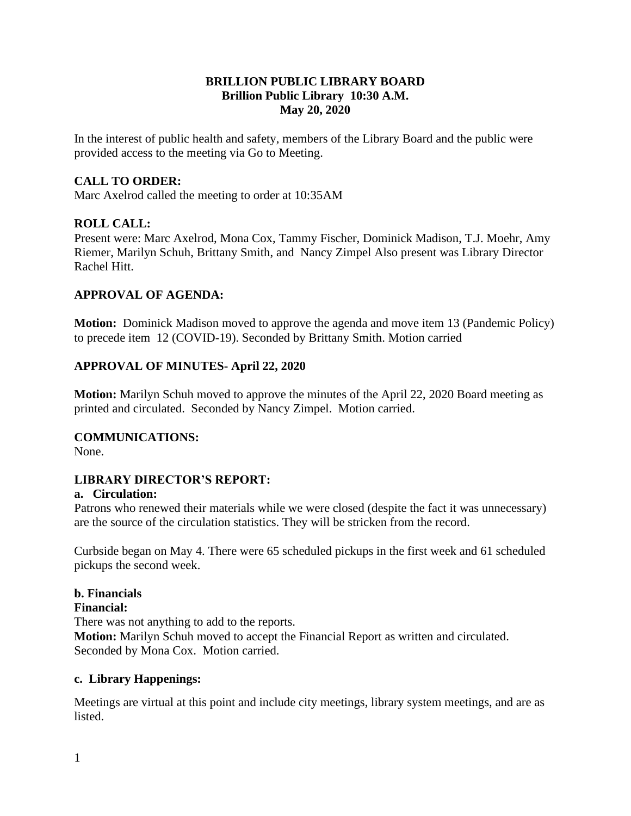#### **BRILLION PUBLIC LIBRARY BOARD Brillion Public Library 10:30 A.M. May 20, 2020**

In the interest of public health and safety, members of the Library Board and the public were provided access to the meeting via Go to Meeting.

### **CALL TO ORDER:**

Marc Axelrod called the meeting to order at 10:35AM

#### **ROLL CALL:**

Present were: Marc Axelrod, Mona Cox, Tammy Fischer, Dominick Madison, T.J. Moehr, Amy Riemer, Marilyn Schuh, Brittany Smith, and Nancy Zimpel Also present was Library Director Rachel Hitt.

#### **APPROVAL OF AGENDA:**

**Motion:** Dominick Madison moved to approve the agenda and move item 13 (Pandemic Policy) to precede item 12 (COVID-19). Seconded by Brittany Smith. Motion carried

#### **APPROVAL OF MINUTES- April 22, 2020**

**Motion:** Marilyn Schuh moved to approve the minutes of the April 22, 2020 Board meeting as printed and circulated. Seconded by Nancy Zimpel. Motion carried.

#### **COMMUNICATIONS:**

None.

#### **LIBRARY DIRECTOR'S REPORT:**

#### **a. Circulation:**

Patrons who renewed their materials while we were closed (despite the fact it was unnecessary) are the source of the circulation statistics. They will be stricken from the record.

Curbside began on May 4. There were 65 scheduled pickups in the first week and 61 scheduled pickups the second week.

#### **b. Financials**

#### **Financial:**

There was not anything to add to the reports.

**Motion:** Marilyn Schuh moved to accept the Financial Report as written and circulated. Seconded by Mona Cox. Motion carried.

#### **c. Library Happenings:**

Meetings are virtual at this point and include city meetings, library system meetings, and are as listed.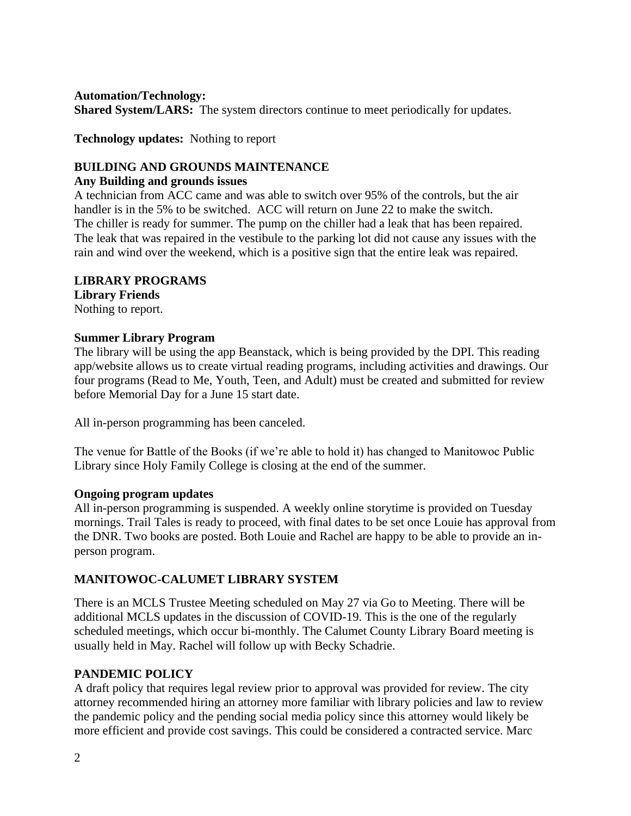#### **Automation/Technology:**

**Shared System/LARS:** The system directors continue to meet periodically for updates.

**Technology updates:** Nothing to report

### **BUILDING AND GROUNDS MAINTENANCE**

#### **Any Building and grounds issues**

A technician from ACC came and was able to switch over 95% of the controls, but the air handler is in the 5% to be switched. ACC will return on June 22 to make the switch. The chiller is ready for summer. The pump on the chiller had a leak that has been repaired. The leak that was repaired in the vestibule to the parking lot did not cause any issues with the rain and wind over the weekend, which is a positive sign that the entire leak was repaired.

#### **LIBRARY PROGRAMS**

**Library Friends** Nothing to report.

#### **Summer Library Program**

The library will be using the app Beanstack, which is being provided by the DPI. This reading app/website allows us to create virtual reading programs, including activities and drawings. Our four programs (Read to Me, Youth, Teen, and Adult) must be created and submitted for review before Memorial Day for a June 15 start date.

All in-person programming has been canceled.

The venue for Battle of the Books (if we're able to hold it) has changed to Manitowoc Public Library since Holy Family College is closing at the end of the summer.

#### **Ongoing program updates**

All in-person programming is suspended. A weekly online storytime is provided on Tuesday mornings. Trail Tales is ready to proceed, with final dates to be set once Louie has approval from the DNR. Two books are posted. Both Louie and Rachel are happy to be able to provide an inperson program.

### **MANITOWOC-CALUMET LIBRARY SYSTEM**

There is an MCLS Trustee Meeting scheduled on May 27 via Go to Meeting. There will be additional MCLS updates in the discussion of COVID-19. This is the one of the regularly scheduled meetings, which occur bi-monthly. The Calumet County Library Board meeting is usually held in May. Rachel will follow up with Becky Schadrie.

### **PANDEMIC POLICY**

A draft policy that requires legal review prior to approval was provided for review. The city attorney recommended hiring an attorney more familiar with library policies and law to review the pandemic policy and the pending social media policy since this attorney would likely be more efficient and provide cost savings. This could be considered a contracted service. Marc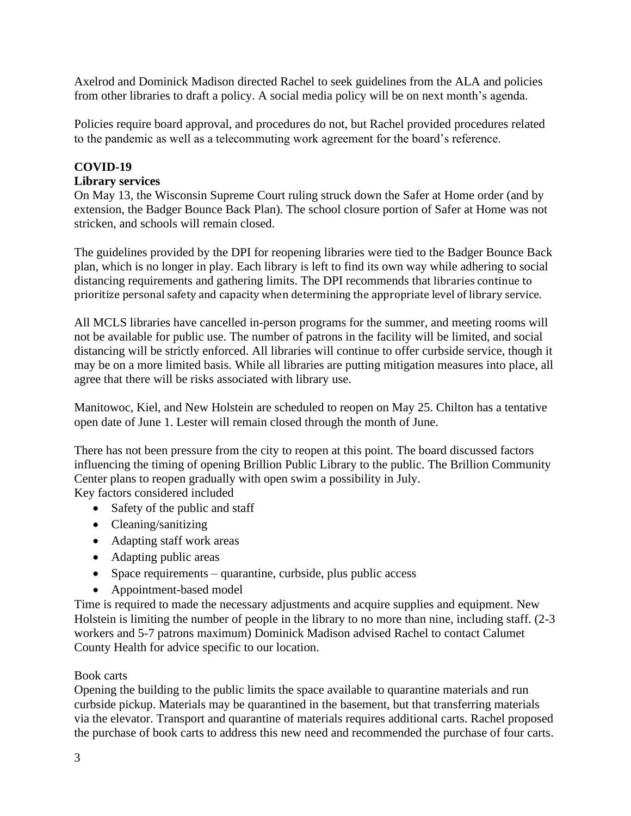Axelrod and Dominick Madison directed Rachel to seek guidelines from the ALA and policies from other libraries to draft a policy. A social media policy will be on next month's agenda.

Policies require board approval, and procedures do not, but Rachel provided procedures related to the pandemic as well as a telecommuting work agreement for the board's reference.

## **COVID-19**

### **Library services**

On May 13, the Wisconsin Supreme Court ruling struck down the Safer at Home order (and by extension, the Badger Bounce Back Plan). The school closure portion of Safer at Home was not stricken, and schools will remain closed.

The guidelines provided by the DPI for reopening libraries were tied to the Badger Bounce Back plan, which is no longer in play. Each library is left to find its own way while adhering to social distancing requirements and gathering limits. The DPI recommends that libraries continue to prioritize personal safety and capacity when determining the appropriate level of library service.

All MCLS libraries have cancelled in-person programs for the summer, and meeting rooms will not be available for public use. The number of patrons in the facility will be limited, and social distancing will be strictly enforced. All libraries will continue to offer curbside service, though it may be on a more limited basis. While all libraries are putting mitigation measures into place, all agree that there will be risks associated with library use.

Manitowoc, Kiel, and New Holstein are scheduled to reopen on May 25. Chilton has a tentative open date of June 1. Lester will remain closed through the month of June.

There has not been pressure from the city to reopen at this point. The board discussed factors influencing the timing of opening Brillion Public Library to the public. The Brillion Community Center plans to reopen gradually with open swim a possibility in July. Key factors considered included

- Safety of the public and staff
- Cleaning/sanitizing
- Adapting staff work areas
- Adapting public areas
- Space requirements quarantine, curbside, plus public access
- Appointment-based model

Time is required to made the necessary adjustments and acquire supplies and equipment. New Holstein is limiting the number of people in the library to no more than nine, including staff. (2-3 workers and 5-7 patrons maximum) Dominick Madison advised Rachel to contact Calumet County Health for advice specific to our location.

### Book carts

Opening the building to the public limits the space available to quarantine materials and run curbside pickup. Materials may be quarantined in the basement, but that transferring materials via the elevator. Transport and quarantine of materials requires additional carts. Rachel proposed the purchase of book carts to address this new need and recommended the purchase of four carts.